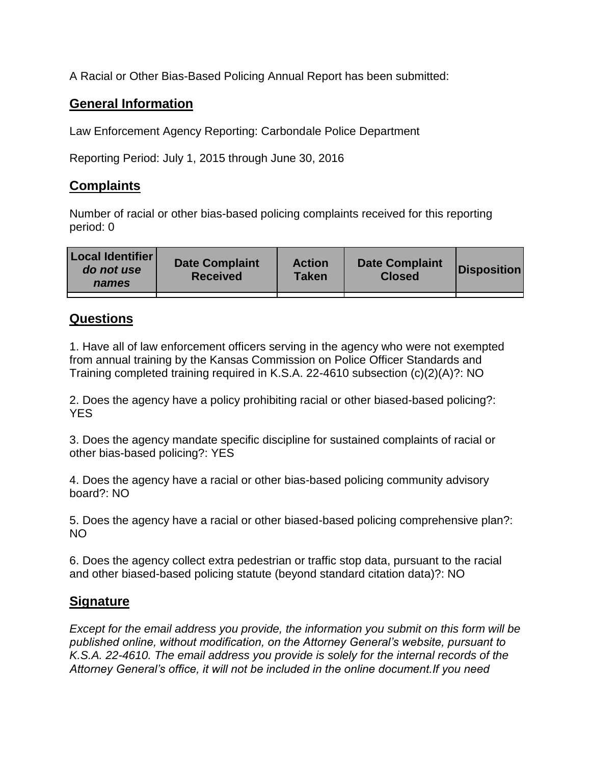A Racial or Other Bias-Based Policing Annual Report has been submitted:

## **General Information**

Law Enforcement Agency Reporting: Carbondale Police Department

Reporting Period: July 1, 2015 through June 30, 2016

## **Complaints**

Number of racial or other bias-based policing complaints received for this reporting period: 0

| <b>Local Identifier</b><br>do not use<br>names | <b>Date Complaint</b><br><b>Received</b> | <b>Action</b><br><b>Taken</b> | <b>Date Complaint</b><br><b>Closed</b> | Disposition |
|------------------------------------------------|------------------------------------------|-------------------------------|----------------------------------------|-------------|
|                                                |                                          |                               |                                        |             |

## **Questions**

1. Have all of law enforcement officers serving in the agency who were not exempted from annual training by the Kansas Commission on Police Officer Standards and Training completed training required in K.S.A. 22-4610 subsection (c)(2)(A)?: NO

2. Does the agency have a policy prohibiting racial or other biased-based policing?: YES

3. Does the agency mandate specific discipline for sustained complaints of racial or other bias-based policing?: YES

4. Does the agency have a racial or other bias-based policing community advisory board?: NO

5. Does the agency have a racial or other biased-based policing comprehensive plan?: NO

6. Does the agency collect extra pedestrian or traffic stop data, pursuant to the racial and other biased-based policing statute (beyond standard citation data)?: NO

## **Signature**

*Except for the email address you provide, the information you submit on this form will be published online, without modification, on the Attorney General's website, pursuant to K.S.A. 22-4610. The email address you provide is solely for the internal records of the Attorney General's office, it will not be included in the online document.If you need*